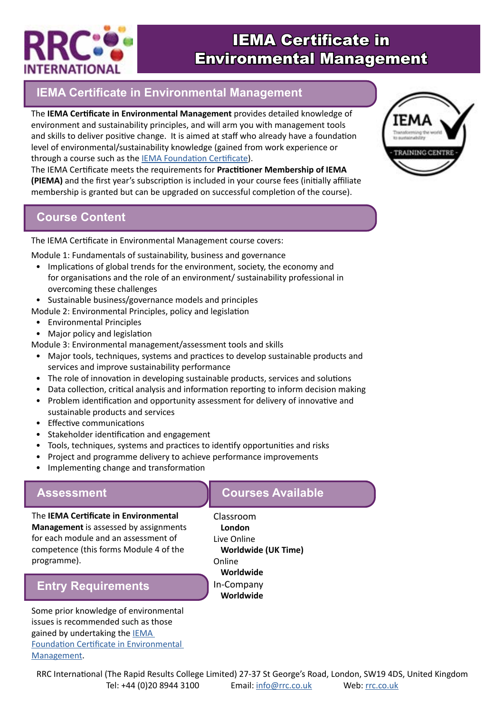

# IEMA Certificate in Environmental Management

### **IEMA Certificate in Environmental Management**

The **IEMA Certificate in Environmental Management** provides detailed knowledge of environment and sustainability principles, and will arm you with management tools and skills to deliver positive change. It is aimed at staff who already have a foundation level of environmental/sustainability knowledge (gained from work experience or through a course such as the [IEMA Foundation Certificate\)](https://www.rrc.co.uk/iema-certificates/iema-foundation-certificate-in-environmental-management.aspx).

The IEMA Certificate meets the requirements for **Practitioner Membership of IEMA (PIEMA)** and the first year's subscription is included in your course fees (initially affiliate membership is granted but can be upgraded on successful completion of the course).

#### **Course Content**

The IEMA Certificate in Environmental Management course covers:

Module 1: Fundamentals of sustainability, business and governance

- Implications of global trends for the environment, society, the economy and for organisations and the role of an environment/ sustainability professional in overcoming these challenges
- Sustainable business/governance models and principles
- Module 2: Environmental Principles, policy and legislation
	- Environmental Principles
- Major policy and legislation

Module 3: Environmental management/assessment tools and skills

- Major tools, techniques, systems and practices to develop sustainable products and services and improve sustainability performance
- The role of innovation in developing sustainable products, services and solutions
- Data collection, critical analysis and information reporting to inform decision making
- Problem identification and opportunity assessment for delivery of innovative and sustainable products and services
- Effective communications
- Stakeholder identification and engagement
- Tools, techniques, systems and practices to identify opportunities and risks
- Project and programme delivery to achieve performance improvements
- Implementing change and transformation

#### **Assessment**

The **IEMA Certificate in Environmental Management** is assessed by assignments for each module and an assessment of competence (this forms Module 4 of the programme).

### **Entry Requirements**

Some prior knowledge of environmental issues is recommended such as those gained by undertaking the **IEMA** [Foundation Certificate in Environmental](https://www.rrc.co.uk/iema-certificates/iema-foundation-certificate-in-environmental-management.aspx)  [Management](https://www.rrc.co.uk/iema-certificates/iema-foundation-certificate-in-environmental-management.aspx).

#### **Courses Available**

Classroom **London** Live Online **Worldwide (UK Time)** Online **Worldwide** In-Company **Worldwide**



RRC International (The Rapid Results College Limited) 27-37 St George's Road, London, SW19 4DS, United Kingdom Tel: +44 (0)20 8944 3100 Email: [info@rrc.co.uk](mailto:info%40rrc.co.uk?subject=) Web: [rrc.co.uk](https://www.rrc.co.uk/)